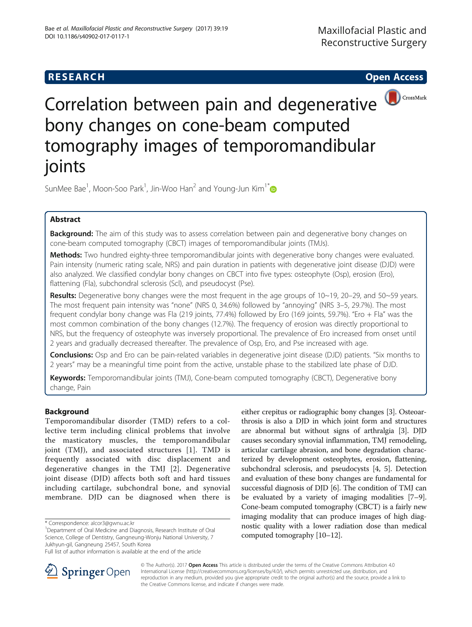# **RESEARCH CHE Open Access**



Correlation between pain and degenerative bony changes on cone-beam computed tomography images of temporomandibular joints

SunMee Bae $^1$ , Moon-Soo Park $^1$ , Jin-Woo Han $^2$  and Young-Jun Kim $^1{}^*$  $^1{}^*$ 

## Abstract

**Background:** The aim of this study was to assess correlation between pain and degenerative bony changes on cone-beam computed tomography (CBCT) images of temporomandibular joints (TMJs).

Methods: Two hundred eighty-three temporomandibular joints with degenerative bony changes were evaluated. Pain intensity (numeric rating scale, NRS) and pain duration in patients with degenerative joint disease (DJD) were also analyzed. We classified condylar bony changes on CBCT into five types: osteophyte (Osp), erosion (Ero), flattening (Fla), subchondral sclerosis (Scl), and pseudocyst (Pse).

**Results:** Degenerative bony changes were the most frequent in the age groups of  $10~19$ ,  $20–29$ , and  $50~59$  years. The most frequent pain intensity was "none" (NRS 0, 34.6%) followed by "annoying" (NRS 3–5, 29.7%). The most frequent condylar bony change was Fla (219 joints, 77.4%) followed by Ero (169 joints, 59.7%). "Ero + Fla" was the most common combination of the bony changes (12.7%). The frequency of erosion was directly proportional to NRS, but the frequency of osteophyte was inversely proportional. The prevalence of Ero increased from onset until 2 years and gradually decreased thereafter. The prevalence of Osp, Ero, and Pse increased with age.

Conclusions: Osp and Ero can be pain-related variables in degenerative joint disease (DJD) patients. "Six months to 2 years" may be a meaningful time point from the active, unstable phase to the stabilized late phase of DJD.

Keywords: Temporomandibular joints (TMJ), Cone-beam computed tomography (CBCT), Degenerative bony change, Pain

## Background

Temporomandibular disorder (TMD) refers to a collective term including clinical problems that involve the masticatory muscles, the temporomandibular joint (TMJ), and associated structures [\[1](#page-5-0)]. TMD is frequently associated with disc displacement and degenerative changes in the TMJ [\[2](#page-5-0)]. Degenerative joint disease (DJD) affects both soft and hard tissues including cartilage, subchondral bone, and synovial membrane. DJD can be diagnosed when there is

<sup>1</sup>Department of Oral Medicine and Diagnosis, Research Institute of Oral Science, College of Dentistry, Gangneung-Wonju National University, 7 Jukhyun-gil, Gangneung 25457, South Korea

either crepitus or radiographic bony changes [[3](#page-5-0)]. Osteoarthrosis is also a DJD in which joint form and structures are abnormal but without signs of arthralgia [\[3\]](#page-5-0). DJD causes secondary synovial inflammation, TMJ remodeling, articular cartilage abrasion, and bone degradation characterized by development osteophytes, erosion, flattening, subchondral sclerosis, and pseudocysts [\[4](#page-5-0), [5\]](#page-5-0). Detection and evaluation of these bony changes are fundamental for successful diagnosis of DJD [\[6](#page-5-0)]. The condition of TMJ can be evaluated by a variety of imaging modalities [[7](#page-5-0)–[9](#page-5-0)]. Cone-beam computed tomography (CBCT) is a fairly new imaging modality that can produce images of high diagnostic quality with a lower radiation dose than medical computed tomography [[10](#page-5-0)–[12\]](#page-5-0).



© The Author(s). 2017 **Open Access** This article is distributed under the terms of the Creative Commons Attribution 4.0 International License ([http://creativecommons.org/licenses/by/4.0/\)](http://creativecommons.org/licenses/by/4.0/), which permits unrestricted use, distribution, and reproduction in any medium, provided you give appropriate credit to the original author(s) and the source, provide a link to the Creative Commons license, and indicate if changes were made.

<sup>\*</sup> Correspondence: [alcor3@gwnu.ac.kr](mailto:alcor3@gwnu.ac.kr) <sup>1</sup>

Full list of author information is available at the end of the article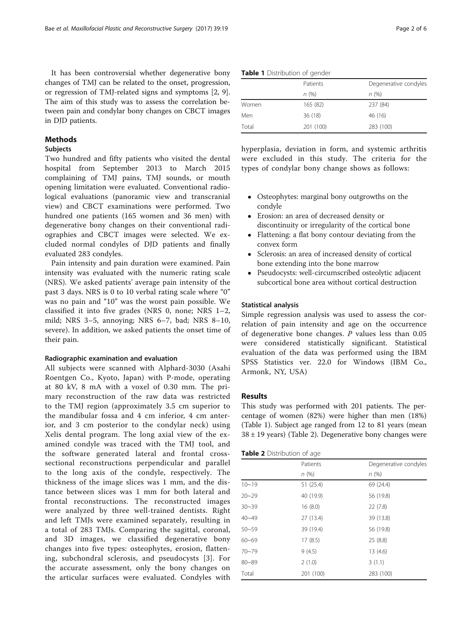<span id="page-1-0"></span>It has been controversial whether degenerative bony changes of TMJ can be related to the onset, progression, or regression of TMJ-related signs and symptoms [[2, 9](#page-5-0)]. The aim of this study was to assess the correlation between pain and condylar bony changes on CBCT images in DJD patients.

## Methods

### **Subjects**

Two hundred and fifty patients who visited the dental hospital from September 2013 to March 2015 complaining of TMJ pains, TMJ sounds, or mouth opening limitation were evaluated. Conventional radiological evaluations (panoramic view and transcranial view) and CBCT examinations were performed. Two hundred one patients (165 women and 36 men) with degenerative bony changes on their conventional radiographies and CBCT images were selected. We excluded normal condyles of DJD patients and finally evaluated 283 condyles.

Pain intensity and pain duration were examined. Pain intensity was evaluated with the numeric rating scale (NRS). We asked patients' average pain intensity of the past 3 days. NRS is 0 to 10 verbal rating scale where "0" was no pain and "10" was the worst pain possible. We classified it into five grades (NRS  $0$ , none; NRS  $1-2$ , mild; NRS 3–5, annoying; NRS 6–7, bad; NRS 8–10, severe). In addition, we asked patients the onset time of their pain.

#### Radiographic examination and evaluation

All subjects were scanned with Alphard-3030 (Asahi Roentgen Co., Kyoto, Japan) with P-mode, operating at 80 kV, 8 mA with a voxel of 0.30 mm. The primary reconstruction of the raw data was restricted to the TMJ region (approximately 3.5 cm superior to the mandibular fossa and 4 cm inferior, 4 cm anterior, and 3 cm posterior to the condylar neck) using Xelis dental program. The long axial view of the examined condyle was traced with the TMJ tool, and the software generated lateral and frontal crosssectional reconstructions perpendicular and parallel to the long axis of the condyle, respectively. The thickness of the image slices was 1 mm, and the distance between slices was 1 mm for both lateral and frontal reconstructions. The reconstructed images were analyzed by three well-trained dentists. Right and left TMJs were examined separately, resulting in a total of 283 TMJs. Comparing the sagittal, coronal, and 3D images, we classified degenerative bony changes into five types: osteophytes, erosion, flattening, subchondral sclerosis, and pseudocysts [[3](#page-5-0)]. For the accurate assessment, only the bony changes on the articular surfaces were evaluated. Condyles with

|  | Table 1 Distribution of gender |  |
|--|--------------------------------|--|
|--|--------------------------------|--|

|       | Patients  | Degenerative condyles |  |  |
|-------|-----------|-----------------------|--|--|
|       | n(%)      | n(%)                  |  |  |
| Women | 165 (82)  | 237 (84)              |  |  |
| Men   | 36(18)    | 46 (16)               |  |  |
| Total | 201 (100) | 283 (100)             |  |  |

hyperplasia, deviation in form, and systemic arthritis were excluded in this study. The criteria for the types of condylar bony change shows as follows:

- Osteophytes: marginal bony outgrowths on the condyle
- Erosion: an area of decreased density or discontinuity or irregularity of the cortical bone
- Flattening: a flat bony contour deviating from the convex form
- Sclerosis: an area of increased density of cortical bone extending into the bone marrow
- Pseudocysts: well-circumscribed osteolytic adjacent subcortical bone area without cortical destruction

### Statistical analysis

Simple regression analysis was used to assess the correlation of pain intensity and age on the occurrence of degenerative bone changes.  $P$  values less than 0.05 were considered statistically significant. Statistical evaluation of the data was performed using the IBM SPSS Statistics ver. 22.0 for Windows (IBM Co., Armonk, NY, USA)

## Results

This study was performed with 201 patients. The percentage of women (82%) were higher than men (18%) (Table 1). Subject age ranged from 12 to 81 years (mean  $38 \pm 19$  years) (Table 2). Degenerative bony changes were

|           | Patients  | Degenerative condyles |  |
|-----------|-----------|-----------------------|--|
|           | n (%)     | n(%)                  |  |
| $10 - 19$ | 51 (25.4) | 69 (24.4)             |  |
| $20 - 29$ | 40 (19.9) | 56 (19.8)             |  |
| $30 - 39$ | 16(8.0)   | 22(7.8)               |  |
| $40 - 49$ | 27 (13.4) | 39 (13.8)             |  |
| $50 - 59$ | 39 (19.4) | 56 (19.8)             |  |
| $60 - 69$ | 17(8.5)   | 25(8.8)               |  |
| $70 - 79$ | 9(4.5)    | 13(4.6)               |  |
| $80 - 89$ | 2(1.0)    | 3(1.1)                |  |
| Total     | 201 (100) | 283 (100)             |  |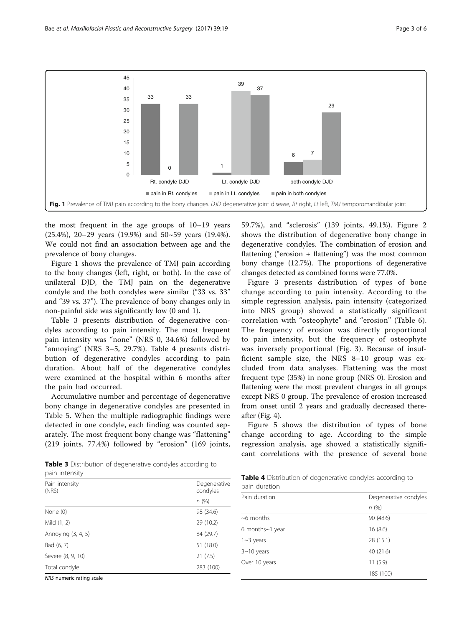<span id="page-2-0"></span>

the most frequent in the age groups of  $10~19$  years (25.4%), 20–29 years (19.9%) and 50~59 years (19.4%). We could not find an association between age and the prevalence of bony changes.

Figure 1 shows the prevalence of TMJ pain according to the bony changes (left, right, or both). In the case of unilateral DJD, the TMJ pain on the degenerative condyle and the both condyles were similar ("33 vs. 33" and "39 vs. 37"). The prevalence of bony changes only in non-painful side was significantly low (0 and 1).

Table 3 presents distribution of degenerative condyles according to pain intensity. The most frequent pain intensity was "none" (NRS 0, 34.6%) followed by "annoying" (NRS 3–5, 29.7%). Table 4 presents distribution of degenerative condyles according to pain duration. About half of the degenerative condyles were examined at the hospital within 6 months after the pain had occurred.

Accumulative number and percentage of degenerative bony change in degenerative condyles are presented in Table [5.](#page-3-0) When the multiple radiographic findings were detected in one condyle, each finding was counted separately. The most frequent bony change was "flattening" (219 joints, 77.4%) followed by "erosion" (169 joints,

59.7%), and "sclerosis" (139 joints, 49.1%). Figure [2](#page-3-0) shows the distribution of degenerative bony change in degenerative condyles. The combination of erosion and flattening ("erosion + flattening") was the most common bony change (12.7%). The proportions of degenerative changes detected as combined forms were 77.0%.

Figure [3](#page-3-0) presents distribution of types of bone change according to pain intensity. According to the simple regression analysis, pain intensity (categorized into NRS group) showed a statistically significant correlation with "osteophyte" and "erosion" (Table [6](#page-4-0)). The frequency of erosion was directly proportional to pain intensity, but the frequency of osteophyte was inversely proportional (Fig. [3\)](#page-3-0). Because of insufficient sample size, the NRS 8–10 group was excluded from data analyses. Flattening was the most frequent type (35%) in none group (NRS 0). Erosion and flattening were the most prevalent changes in all groups except NRS 0 group. The prevalence of erosion increased from onset until 2 years and gradually decreased thereafter (Fig. [4](#page-4-0)).

Figure [5](#page-4-0) shows the distribution of types of bone change according to age. According to the simple regression analysis, age showed a statistically significant correlations with the presence of several bone

| <b>Table 3</b> Distribution of degenerative condyles according to |  |  |
|-------------------------------------------------------------------|--|--|
| pain intensity                                                    |  |  |

| Pain intensity<br>(NRS) | Degenerative<br>condyles |
|-------------------------|--------------------------|
|                         | n(%)                     |
| None $(0)$              | 98 (34.6)                |
| Mild (1, 2)             | 29 (10.2)                |
| Annoying $(3, 4, 5)$    | 84 (29.7)                |
| Bad (6, 7)              | 51 (18.0)                |
| Severe (8, 9, 10)       | 21(7.5)                  |
| Total condyle           | 283 (100)                |
|                         |                          |

NRS numeric rating scale

Table 4 Distribution of degenerative condyles according to pain duration

| Pain duration          | Degenerative condyles |  |  |
|------------------------|-----------------------|--|--|
|                        | n(%)                  |  |  |
| $~\sim$ 6 months       | 90 (48.6)             |  |  |
| 6 months $\sim$ 1 year | 16(8.6)               |  |  |
| $1~3$ years            | 28 (15.1)             |  |  |
| $3~10$ years           | 40(21.6)              |  |  |
| Over 10 years          | 11(5.9)               |  |  |
|                        | 185 (100)             |  |  |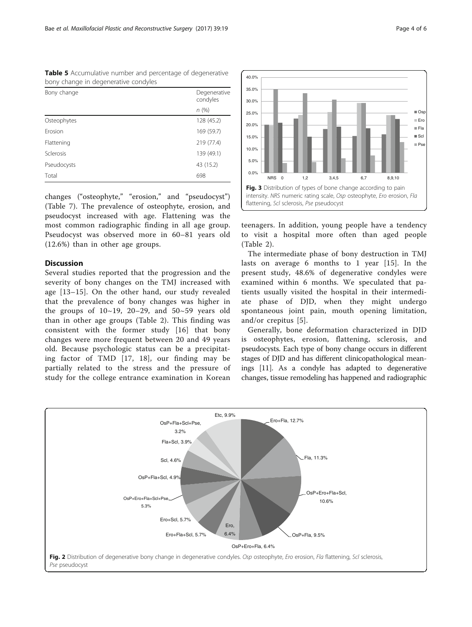<span id="page-3-0"></span>Table 5 Accumulative number and percentage of degenerative bony change in degenerative condyles

| Bony change | Degenerative<br>condyles |  |
|-------------|--------------------------|--|
|             | n(%)                     |  |
| Osteophytes | 128 (45.2)               |  |
| Erosion     | 169 (59.7)               |  |
| Flattening  | 219 (77.4)               |  |
| Sclerosis   | 139 (49.1)               |  |
| Pseudocysts | 43 (15.2)                |  |
| Total       | 698                      |  |

changes ("osteophyte," "erosion," and "pseudocyst") (Table [7](#page-4-0)). The prevalence of osteophyte, erosion, and pseudocyst increased with age. Flattening was the most common radiographic finding in all age group. Pseudocyst was observed more in 60–81 years old (12.6%) than in other age groups.

## **Discussion**

Several studies reported that the progression and the severity of bony changes on the TMJ increased with age [[13](#page-5-0)–[15](#page-5-0)]. On the other hand, our study revealed that the prevalence of bony changes was higher in the groups of  $10~19$ ,  $20-29$ , and  $50~59$  years old than in other age groups (Table [2](#page-1-0)). This finding was consistent with the former study [[16\]](#page-5-0) that bony changes were more frequent between 20 and 49 years old. Because psychologic status can be a precipitating factor of TMD [[17, 18](#page-5-0)], our finding may be partially related to the stress and the pressure of study for the college entrance examination in Korean



teenagers. In addition, young people have a tendency to visit a hospital more often than aged people (Table [2](#page-1-0)).

The intermediate phase of bony destruction in TMJ lasts on average 6 months to 1 year [[15](#page-5-0)]. In the present study, 48.6% of degenerative condyles were examined within 6 months. We speculated that patients usually visited the hospital in their intermediate phase of DJD, when they might undergo spontaneous joint pain, mouth opening limitation, and/or crepitus [[5](#page-5-0)].

Generally, bone deformation characterized in DJD is osteophytes, erosion, flattening, sclerosis, and pseudocysts. Each type of bony change occurs in different stages of DJD and has different clinicopathological meanings [\[11\]](#page-5-0). As a condyle has adapted to degenerative changes, tissue remodeling has happened and radiographic

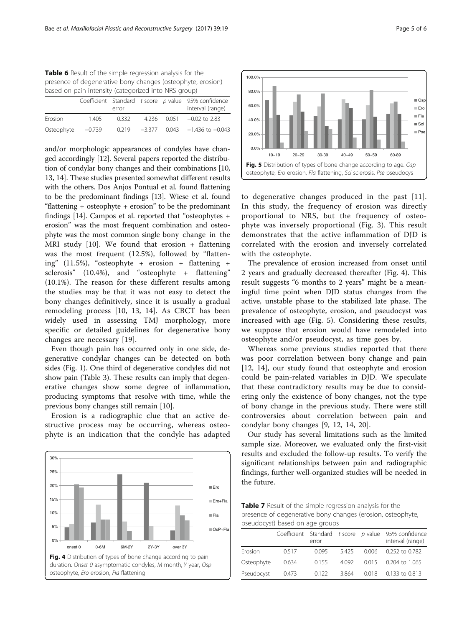<span id="page-4-0"></span>Table 6 Result of the simple regression analysis for the presence of degenerative bony changes (osteophyte, erosion) based on pain intensity (categorized into NRS group)

|            |          | error |  | Coefficient Standard t score p value 95% confidence<br>interval (range) |
|------------|----------|-------|--|-------------------------------------------------------------------------|
| Erosion    | 1.405    | 0.332 |  | $4.236$ $0.051$ $-0.02$ to 2.83                                         |
| Osteophyte | $-0.739$ |       |  | $0.219 -3.377 0.043 -1.436$ to $-0.043$                                 |
|            |          |       |  |                                                                         |

and/or morphologic appearances of condyles have changed accordingly [[12](#page-5-0)]. Several papers reported the distribution of condylar bony changes and their combinations [[10](#page-5-0), [13](#page-5-0), [14](#page-5-0)]. These studies presented somewhat different results with the others. Dos Anjos Pontual et al. found flattening to be the predominant findings [\[13](#page-5-0)]. Wiese et al. found "flattening + osteophyte + erosion" to be the predominant findings [\[14\]](#page-5-0). Campos et al. reported that "osteophytes + erosion" was the most frequent combination and osteophyte was the most common single bony change in the MRI study [[10\]](#page-5-0). We found that erosion  $+$  flattening was the most frequent (12.5%), followed by "flattening" (11.5%), "osteophyte + erosion + flattening + sclerosis" (10.4%), and "osteophyte + flattening" (10.1%). The reason for these different results among the studies may be that it was not easy to detect the bony changes definitively, since it is usually a gradual remodeling process [\[10](#page-5-0), [13, 14](#page-5-0)]. As CBCT has been widely used in assessing TMJ morphology, more specific or detailed guidelines for degenerative bony changes are necessary [[19](#page-5-0)].

Even though pain has occurred only in one side, degenerative condylar changes can be detected on both sides (Fig. [1](#page-2-0)). One third of degenerative condyles did not show pain (Table [3\)](#page-2-0). These results can imply that degenerative changes show some degree of inflammation, producing symptoms that resolve with time, while the previous bony changes still remain [[10\]](#page-5-0).

Erosion is a radiographic clue that an active destructive process may be occurring, whereas osteophyte is an indication that the condyle has adapted





to degenerative changes produced in the past [[11](#page-5-0)]. In this study, the frequency of erosion was directly proportional to NRS, but the frequency of osteophyte was inversely proportional (Fig. [3](#page-3-0)). This result demonstrates that the active inflammation of DJD is correlated with the erosion and inversely correlated with the osteophyte.

The prevalence of erosion increased from onset until 2 years and gradually decreased thereafter (Fig. 4). This result suggests "6 months to 2 years" might be a meaningful time point when DJD status changes from the active, unstable phase to the stabilized late phase. The prevalence of osteophyte, erosion, and pseudocyst was increased with age (Fig. 5). Considering these results, we suppose that erosion would have remodeled into osteophyte and/or pseudocyst, as time goes by.

Whereas some previous studies reported that there was poor correlation between bony change and pain [[12, 14\]](#page-5-0), our study found that osteophyte and erosion could be pain-related variables in DJD. We speculate that these contradictory results may be due to considering only the existence of bony changes, not the type of bony change in the previous study. There were still controversies about correlation between pain and condylar bony changes [[9, 12](#page-5-0), [14](#page-5-0), [20\]](#page-5-0).

Our study has several limitations such as the limited sample size. Moreover, we evaluated only the first-visit results and excluded the follow-up results. To verify the significant relationships between pain and radiographic findings, further well-organized studies will be needed in the future.

Table 7 Result of the simple regression analysis for the presence of degenerative bony changes (erosion, osteophyte, pseudocyst) based on age groups

| pocaaocjocj pasca on aqc qroaps |       |       |       |       |                                                                         |  |
|---------------------------------|-------|-------|-------|-------|-------------------------------------------------------------------------|--|
|                                 |       | error |       |       | Coefficient Standard t score p value 95% confidence<br>interval (range) |  |
| Erosion                         | 0.517 | 0.095 | 5.425 | 0.006 | 0.252 to 0.782                                                          |  |
| Osteophyte                      | 0.634 | 0.155 | 4.092 | 0.015 | 0.204 to 1.065                                                          |  |
| Pseudocyst                      | 0.473 | 0.122 | 3.864 | 0.018 | 0.133 to 0.813                                                          |  |